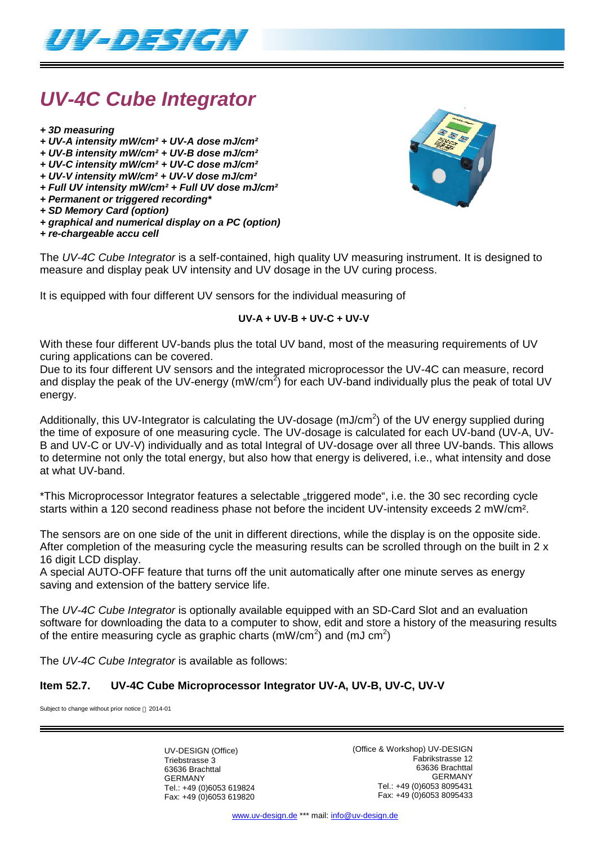

## *UV-4C Cube Integrator*

- *+ 3D measuring*
- *+ UV-A intensity mW/cm² + UV-A dose mJ/cm²*
- *+ UV-B intensity mW/cm² + UV-B dose mJ/cm²*
- *+ UV-C intensity mW/cm² + UV-C dose mJ/cm²*
- *+ UV-V intensity mW/cm² + UV-V dose mJ/cm²*
- *+ Full UV intensity mW/cm² + Full UV dose mJ/cm²*
- *+ Permanent or triggered recording\**
- *+ SD Memory Card (option)*
- *+ graphical and numerical display on a PC (option)*
- *+ re-chargeable accu cell*



The *UV-4C Cube Integrator* is a self-contained, high quality UV measuring instrument. It is designed to measure and display peak UV intensity and UV dosage in the UV curing process.

It is equipped with four different UV sensors for the individual measuring of

#### **UV-A + UV-B + UV-C + UV-V**

With these four different UV-bands plus the total UV band, most of the measuring requirements of UV curing applications can be covered.

Due to its four different UV sensors and the integrated microprocessor the UV-4C can measure, record and display the peak of the UV-energy (mW/cm<sup>2</sup>) for each UV-band individually plus the peak of total UV energy.

Additionally, this UV-Integrator is calculating the UV-dosage (mJ/cm<sup>2</sup>) of the UV energy supplied during the time of exposure of one measuring cycle. The UV-dosage is calculated for each UV-band (UV-A, UV-B and UV-C or UV-V) individually and as total Integral of UV-dosage over all three UV-bands. This allows to determine not only the total energy, but also how that energy is delivered, i.e., what intensity and dose at what UV-band.

\*This Microprocessor Integrator features a selectable "triggered mode", i.e. the 30 sec recording cycle starts within a 120 second readiness phase not before the incident UV-intensity exceeds 2 mW/cm².

The sensors are on one side of the unit in different directions, while the display is on the opposite side. After completion of the measuring cycle the measuring results can be scrolled through on the built in 2 x 16 digit LCD display.

A special AUTO-OFF feature that turns off the unit automatically after one minute serves as energy saving and extension of the battery service life.

The *UV-4C Cube Integrator* is optionally available equipped with an SD-Card Slot and an evaluation software for downloading the data to a computer to show, edit and store a history of the measuring results of the entire measuring cycle as graphic charts (mW/cm<sup>2</sup>) and (mJ cm<sup>2</sup>)

The *UV-4C Cube Integrator* is available as follows:

## **Item 52.7. UV-4C Cube Microprocessor Integrator UV-A, UV-B, UV-C, UV-V**

Subject to change without prior notice  $@$  2014-01

UV-DESIGN (Office) Triebstrasse 3 63636 Brachttal GERMANY Tel.: +49 (0)6053 619824 Fax: +49 (0)6053 619820 (Office & Workshop) UV-DESIGN Fabrikstrasse 12 63636 Brachttal GERMANY Tel.: +49 (0)6053 8095431 Fax: +49 (0)6053 8095433

www.uv-design.de \*\*\* mail: info@uv-design.de